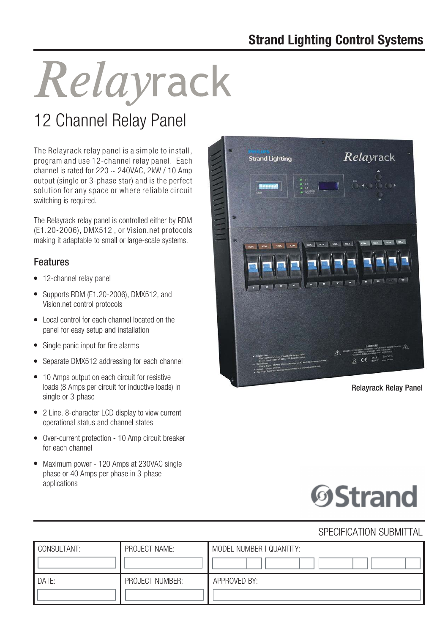# Relayrack

# 12 Channel Relay Panel

The Relayrack relay panel is a simple to install, program and use 12-channel relay panel. Each channel is rated for  $220 \sim 240$ VAC,  $2$ kW / 10 Amp output (single or 3-phase star) and is the perfect solution for any space or where reliable circuit switching is required.

The Relayrack relay panel is controlled either by RDM (E1.20-2006), DMX512 , or Vision.net protocols making it adaptable to small or large-scale systems.

# Features

- 12-channel relav panel
- Supports RDM (E1.20-2006), DMX512, and Vision.net control protocols
- Local control for each channel located on the panel for easy setup and installation
- Single panic input for fire alarms
- Separate DMX512 addressing for each channel
- 10 Amps output on each circuit for resistive loads (8 Amps per circuit for inductive loads) in single or 3-phase
- 2 Line, 8-character LCD display to view current operational status and channel states
- Over-current protection 10 Amp circuit breaker for each channel
- Maximum power 120 Amps at 230VAC single phase or 40 Amps per phase in 3-phase applications



Relayrack Relay Panel



# SPECIFICATION SUBMITTAL

| CONSULTANT: | PROJECT NAME:   | MODEL NUMBER   QUANTITY: |
|-------------|-----------------|--------------------------|
| DATE:       | PROJECT NUMBER: | APPROVED BY:             |